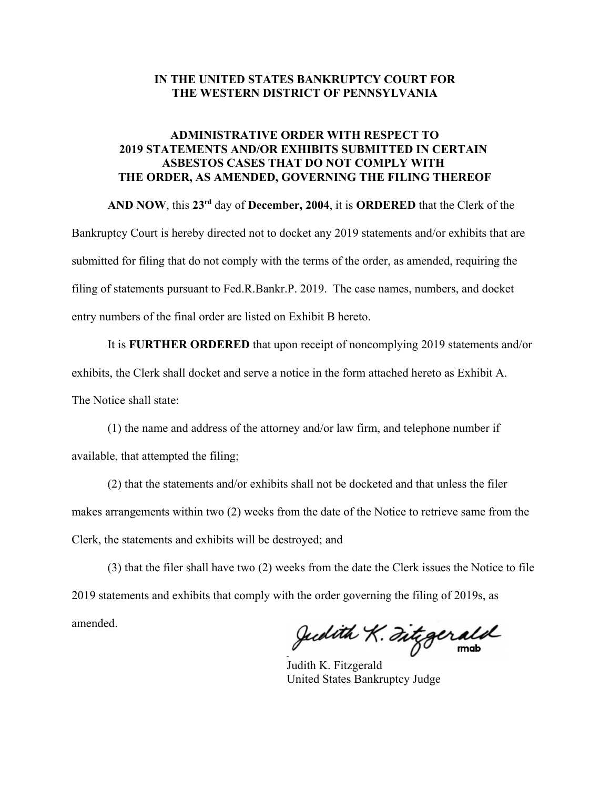#### **IN THE UNITED STATES BANKRUPTCY COURT FOR THE WESTERN DISTRICT OF PENNSYLVANIA**

### **ADMINISTRATIVE ORDER WITH RESPECT TO 2019 STATEMENTS AND/OR EXHIBITS SUBMITTED IN CERTAIN ASBESTOS CASES THAT DO NOT COMPLY WITH THE ORDER, AS AMENDED, GOVERNING THE FILING THEREOF**

**AND NOW**, this **23rd** day of **December, 2004**, it is **ORDERED** that the Clerk of the

Bankruptcy Court is hereby directed not to docket any 2019 statements and/or exhibits that are submitted for filing that do not comply with the terms of the order, as amended, requiring the filing of statements pursuant to Fed.R.Bankr.P. 2019. The case names, numbers, and docket entry numbers of the final order are listed on Exhibit B hereto.

It is **FURTHER ORDERED** that upon receipt of noncomplying 2019 statements and/or exhibits, the Clerk shall docket and serve a notice in the form attached hereto as Exhibit A. The Notice shall state:

(1) the name and address of the attorney and/or law firm, and telephone number if available, that attempted the filing;

(2) that the statements and/or exhibits shall not be docketed and that unless the filer makes arrangements within two (2) weeks from the date of the Notice to retrieve same from the Clerk, the statements and exhibits will be destroyed; and

(3) that the filer shall have two (2) weeks from the date the Clerk issues the Notice to file 2019 statements and exhibits that comply with the order governing the filing of 2019s, as amended.

Judith K. Fitzgerald

Judith K. Fitzgerald United States Bankruptcy Judge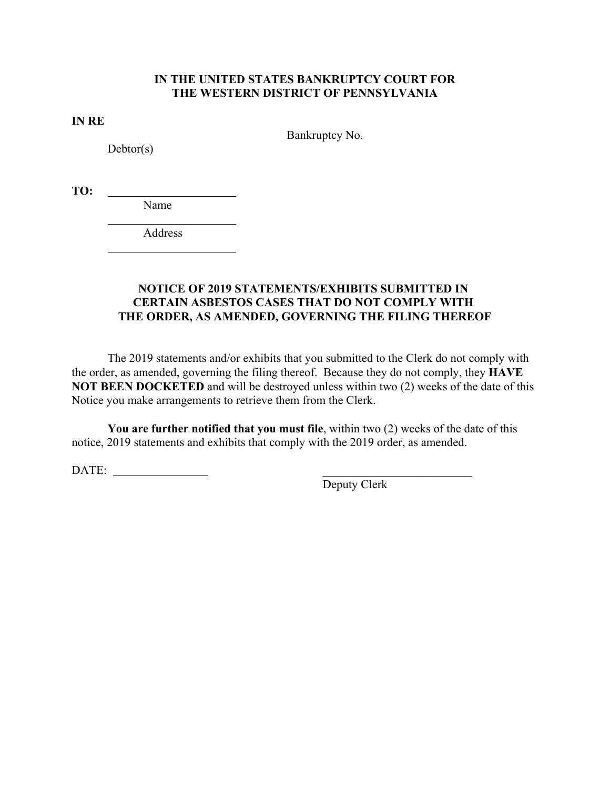# **IN THE UNITED STATES BANKRUPTCY COURT FOR THE WESTERN DISTRICT OF PENNSYLVANIA**

**IN RE**

Bankruptcy No.

 $Debtor(s)$ 

 $\overline{a}$ 

 $\overline{a}$ 

**TO:** 

Name

Address

## **NOTICE OF 2019 STATEMENTS/EXHIBITS SUBMITTED IN CERTAIN ASBESTOS CASES THAT DO NOT COMPLY WITH THE ORDER, AS AMENDED, GOVERNING THE FILING THEREOF**

The 2019 statements and/or exhibits that you submitted to the Clerk do not comply with the order, as amended, governing the filing thereof. Because they do not comply, they **HAVE NOT BEEN DOCKETED** and will be destroyed unless within two (2) weeks of the date of this Notice you make arrangements to retrieve them from the Clerk.

**You are further notified that you must file**, within two (2) weeks of the date of this notice, 2019 statements and exhibits that comply with the 2019 order, as amended.

DATE:

Deputy Clerk